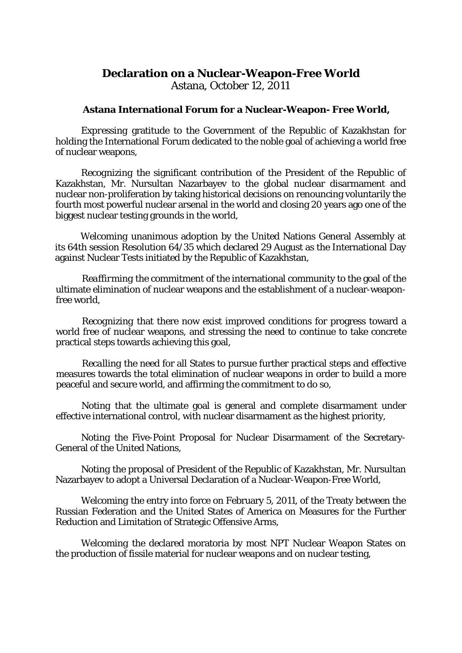## **Declaration on a Nuclear-Weapon-Free World** Astana, October 12, 2011

## **Astana International Forum for a Nuclear-Weapon- Free World,**

*Expressing* gratitude to the Government of the Republic of Kazakhstan for holding the International Forum dedicated to the noble goal of achieving a world free of nuclear weapons,

*Recognizing* the significant contribution of the President of the Republic of Kazakhstan, Mr. Nursultan Nazarbayev to the global nuclear disarmament and nuclear non-proliferation by taking historical decisions on renouncing voluntarily the fourth most powerful nuclear arsenal in the world and closing 20 years ago one of the biggest nuclear testing grounds in the world,

*Welcoming* unanimous adoption by the United Nations General Assembly at its 64th session Resolution 64/35 which declared 29 August as the International Day against Nuclear Tests initiated by the Republic of Kazakhstan,

*Reaffirming* the commitment of the international community to the goal of the ultimate elimination of nuclear weapons and the establishment of a nuclear-weaponfree world,

*Recognizing* that there now exist improved conditions for progress toward a world free of nuclear weapons, and stressing the need to continue to take concrete practical steps towards achieving this goal,

*Recalling* the need for all States to pursue further practical steps and effective measures towards the total elimination of nuclear weapons in order to build a more peaceful and secure world, and affirming the commitment to do so,

*Noting* that the ultimate goal is general and complete disarmament under effective international control, with nuclear disarmament as the highest priority,

*Noting* the Five-Point Proposal for Nuclear Disarmament of the Secretary-General of the United Nations,

*Noting* the proposal of President of the Republic of Kazakhstan, Mr. Nursultan Nazarbayev to adopt a Universal Declaration of a Nuclear-Weapon-Free World,

*Welcoming* the entry into force on February 5, 2011, of the Treaty between the Russian Federation and the United States of America on Measures for the Further Reduction and Limitation of Strategic Offensive Arms,

*Welcoming* the declared moratoria by most NPT Nuclear Weapon States on the production of fissile material for nuclear weapons and on nuclear testing,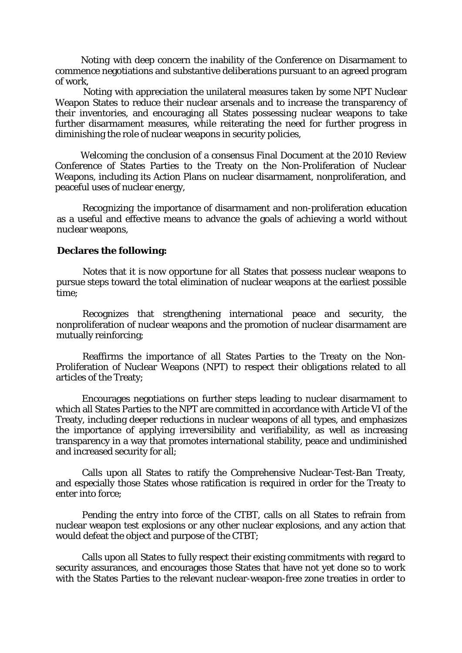*Noting* with deep concern the inability of the Conference on Disarmament to commence negotiations and substantive deliberations pursuant to an agreed program of work,

*Noting* with appreciation the unilateral measures taken by some NPT Nuclear Weapon States to reduce their nuclear arsenals and to increase the transparency of their inventories, and encouraging all States possessing nuclear weapons to take further disarmament measures, while reiterating the need for further progress in diminishing the role of nuclear weapons in security policies,

*Welcoming* the conclusion of a consensus Final Document at the 2010 Review Conference of States Parties to the Treaty on the Non-Proliferation of Nuclear Weapons, including its Action Plans on nuclear disarmament, nonproliferation, and peaceful uses of nuclear energy,

*Recognizing* the importance of disarmament and non-proliferation education as a useful and effective means to advance the goals of achieving a world without nuclear weapons,

## **Declares the following:**

Notes that it is now opportune for all States that possess nuclear weapons to pursue steps toward the total elimination of nuclear weapons at the earliest possible time;

Recognizes that strengthening international peace and security, the nonproliferation of nuclear weapons and the promotion of nuclear disarmament are mutually reinforcing;

Reaffirms the importance of all States Parties to the Treaty on the Non-Proliferation of Nuclear Weapons (NPT) to respect their obligations related to all articles of the Treaty;

Encourages negotiations on further steps leading to nuclear disarmament to which all States Parties to the NPT are committed in accordance with Article VI of the Treaty, including deeper reductions in nuclear weapons of all types, and emphasizes the importance of applying irreversibility and verifiability, as well as increasing transparency in a way that promotes international stability, peace and undiminished and increased security for all;

Calls upon all States to ratify the Comprehensive Nuclear-Test-Ban Treaty, and especially those States whose ratification is required in order for the Treaty to enter into force;

Pending the entry into force of the CTBT, calls on all States to refrain from nuclear weapon test explosions or any other nuclear explosions, and any action that would defeat the object and purpose of the CTBT;

Calls upon all States to fully respect their existing commitments with regard to security assurances, and encourages those States that have not yet done so to work with the States Parties to the relevant nuclear-weapon-free zone treaties in order to